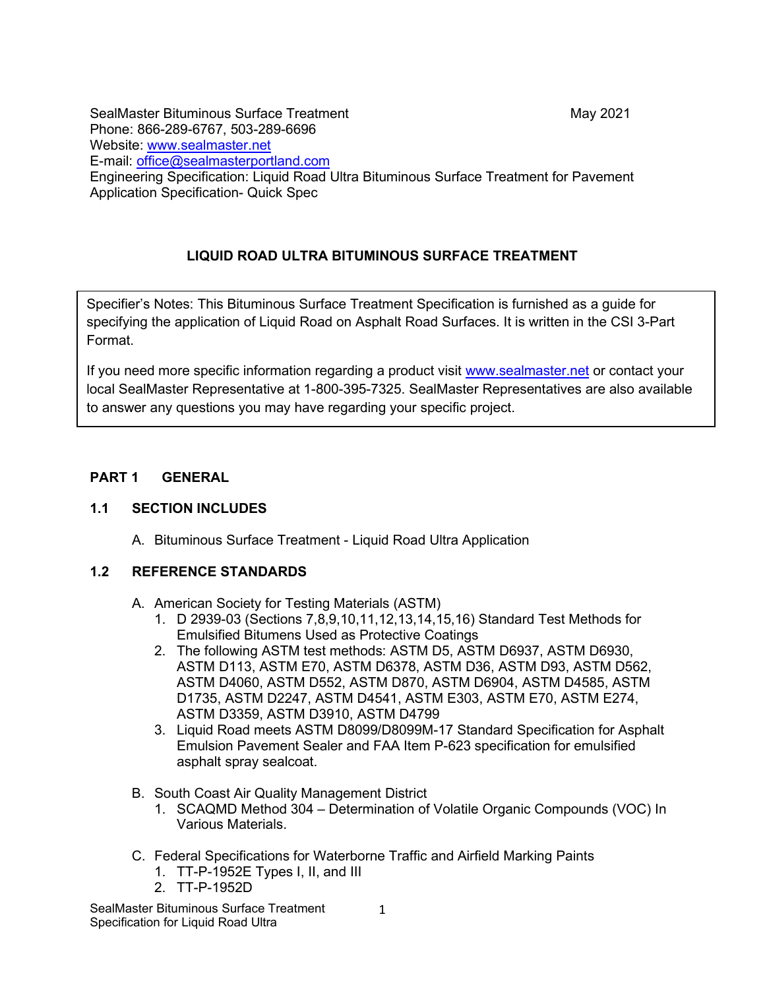SealMaster Bituminous Surface Treatment May 2021 Phone: 866-289-6767, 503-289-6696 Website: [www.sealmaster.net](http://www.sealmaster.net/) E-mail: [office@sealmasterportland.com](mailto:office@sealmasterportland.com) Engineering Specification: Liquid Road Ultra Bituminous Surface Treatment for Pavement Application Specification- Quick Spec

# **LIQUID ROAD ULTRA BITUMINOUS SURFACE TREATMENT**

Specifier's Notes: This Bituminous Surface Treatment Specification is furnished as a guide for specifying the application of Liquid Road on Asphalt Road Surfaces. It is written in the CSI 3-Part Format.

If you need more specific information regarding a product visit [www.sealmaster.net](http://www.sealmaster.net/) or contact your local SealMaster Representative at 1-800-395-7325. SealMaster Representatives are also available to answer any questions you may have regarding your specific project.

## **PART 1 GENERAL**

## **1.1 SECTION INCLUDES**

A. Bituminous Surface Treatment - Liquid Road Ultra Application

#### **1.2 REFERENCE STANDARDS**

- A. American Society for Testing Materials (ASTM)
	- 1. D 2939-03 (Sections 7,8,9,10,11,12,13,14,15,16) Standard Test Methods for Emulsified Bitumens Used as Protective Coatings
	- 2. The following ASTM test methods: ASTM D5, ASTM D6937, ASTM D6930, ASTM D113, ASTM E70, ASTM D6378, ASTM D36, ASTM D93, ASTM D562, ASTM D4060, ASTM D552, ASTM D870, ASTM D6904, ASTM D4585, ASTM D1735, ASTM D2247, ASTM D4541, ASTM E303, ASTM E70, ASTM E274, ASTM D3359, ASTM D3910, ASTM D4799
	- 3. Liquid Road meets ASTM D8099/D8099M-17 Standard Specification for Asphalt Emulsion Pavement Sealer and FAA Item P-623 specification for emulsified asphalt spray sealcoat.
- B. South Coast Air Quality Management District
	- 1. SCAQMD Method 304 Determination of Volatile Organic Compounds (VOC) In Various Materials.
- C. Federal Specifications for Waterborne Traffic and Airfield Marking Paints
	- 1. TT-P-1952E Types I, II, and III
	- 2. TT-P-1952D

SealMaster Bituminous Surface Treatment Specification for Liquid Road Ultra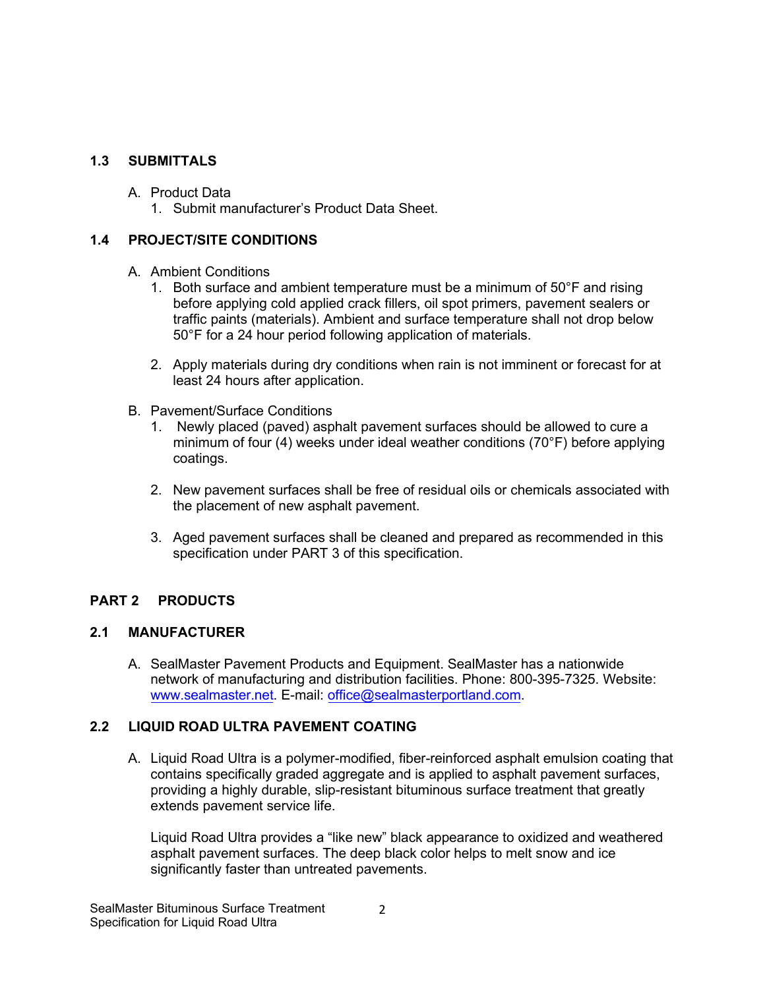#### **1.3 SUBMITTALS**

- A. Product Data
	- 1. Submit manufacturer's Product Data Sheet.

#### **1.4 PROJECT/SITE CONDITIONS**

#### A. Ambient Conditions

- 1. Both surface and ambient temperature must be a minimum of 50°F and rising before applying cold applied crack fillers, oil spot primers, pavement sealers or traffic paints (materials). Ambient and surface temperature shall not drop below 50°F for a 24 hour period following application of materials.
- 2. Apply materials during dry conditions when rain is not imminent or forecast for at least 24 hours after application.
- B. Pavement/Surface Conditions
	- 1. Newly placed (paved) asphalt pavement surfaces should be allowed to cure a minimum of four (4) weeks under ideal weather conditions (70°F) before applying coatings.
	- 2. New pavement surfaces shall be free of residual oils or chemicals associated with the placement of new asphalt pavement.
	- 3. Aged pavement surfaces shall be cleaned and prepared as recommended in this specification under PART 3 of this specification.

## **PART 2 PRODUCTS**

#### **2.1 MANUFACTURER**

A. SealMaster Pavement Products and Equipment. SealMaster has a nationwide network of manufacturing and distribution facilities. Phone: 800-395-7325. Website: www.sealmaster.net. E-mail: office@sealmasterportland.com.

#### **2.2 LIQUID ROAD ULTRA PAVEMENT COATING**

A. Liquid Road Ultra is a polymer-modified, fiber-reinforced asphalt emulsion coating that contains specifically graded aggregate and is applied to asphalt pavement surfaces, providing a highly durable, slip-resistant bituminous surface treatment that greatly extends pavement service life.

Liquid Road Ultra provides a "like new" black appearance to oxidized and weathered asphalt pavement surfaces. The deep black color helps to melt snow and ice significantly faster than untreated pavements.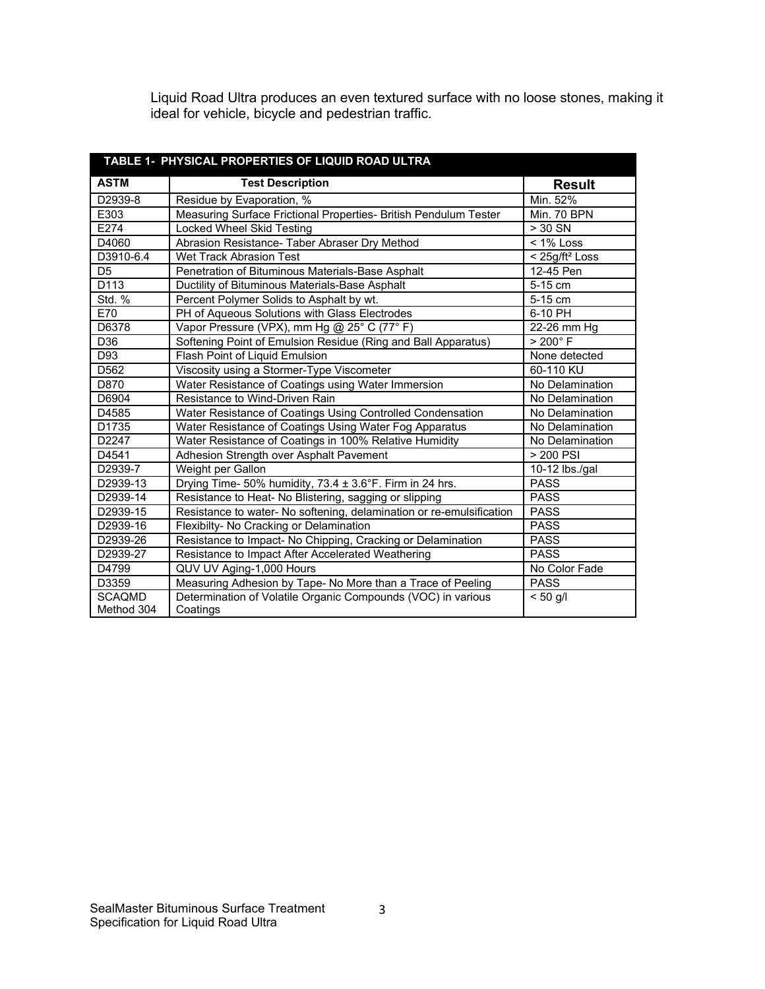Liquid Road Ultra produces an even textured surface with no loose stones, making it ideal for vehicle, bicycle and pedestrian traffic.

| TABLE 1- PHYSICAL PROPERTIES OF LIQUID ROAD ULTRA |                                                                      |                              |
|---------------------------------------------------|----------------------------------------------------------------------|------------------------------|
| <b>ASTM</b>                                       | <b>Test Description</b>                                              | <b>Result</b>                |
| D2939-8                                           | Residue by Evaporation, %                                            | Min. 52%                     |
| E303                                              | Measuring Surface Frictional Properties- British Pendulum Tester     | Min. 70 BPN                  |
| E274                                              | Locked Wheel Skid Testing                                            | $>$ 30 SN                    |
| D4060                                             | Abrasion Resistance- Taber Abraser Dry Method                        | $< 1\%$ Loss                 |
| D3910-6.4                                         | <b>Wet Track Abrasion Test</b>                                       | $<$ 25g/ft <sup>2</sup> Loss |
| D <sub>5</sub>                                    | Penetration of Bituminous Materials-Base Asphalt                     | 12-45 Pen                    |
| D113                                              | Ductility of Bituminous Materials-Base Asphalt                       | 5-15 cm                      |
| <b>Std. %</b>                                     | Percent Polymer Solids to Asphalt by wt.                             | 5-15 cm                      |
| E70                                               | PH of Aqueous Solutions with Glass Electrodes                        | 6-10 PH                      |
| D6378                                             | Vapor Pressure (VPX), mm Hg @ 25° C (77° F)                          | 22-26 mm Hg                  |
| D36                                               | Softening Point of Emulsion Residue (Ring and Ball Apparatus)        | $> 200^\circ$ F              |
| D93                                               | Flash Point of Liquid Emulsion                                       | None detected                |
| D562                                              | Viscosity using a Stormer-Type Viscometer                            | 60-110 KU                    |
| D870                                              | Water Resistance of Coatings using Water Immersion                   | No Delamination              |
| D6904                                             | Resistance to Wind-Driven Rain                                       | No Delamination              |
| D4585                                             | Water Resistance of Coatings Using Controlled Condensation           | No Delamination              |
| D1735                                             | Water Resistance of Coatings Using Water Fog Apparatus               | No Delamination              |
| D2247                                             | Water Resistance of Coatings in 100% Relative Humidity               | No Delamination              |
| D4541                                             | Adhesion Strength over Asphalt Pavement                              | > 200 PSI                    |
| D2939-7                                           | Weight per Gallon                                                    | $10-12$ lbs./gal             |
| D2939-13                                          | Drying Time- 50% humidity, 73.4 ± 3.6°F. Firm in 24 hrs.             | <b>PASS</b>                  |
| D2939-14                                          | Resistance to Heat- No Blistering, sagging or slipping               | <b>PASS</b>                  |
| D2939-15                                          | Resistance to water- No softening, delamination or re-emulsification | <b>PASS</b>                  |
| D2939-16                                          | Flexibilty- No Cracking or Delamination                              | <b>PASS</b>                  |
| D2939-26                                          | Resistance to Impact- No Chipping, Cracking or Delamination          | <b>PASS</b>                  |
| D2939-27                                          | Resistance to Impact After Accelerated Weathering                    | <b>PASS</b>                  |
| D4799                                             | QUV UV Aging-1,000 Hours                                             | No Color Fade                |
| D3359                                             | Measuring Adhesion by Tape- No More than a Trace of Peeling          | <b>PASS</b>                  |
| <b>SCAQMD</b>                                     | Determination of Volatile Organic Compounds (VOC) in various         | $< 50$ g/l                   |
| Method 304                                        | Coatings                                                             |                              |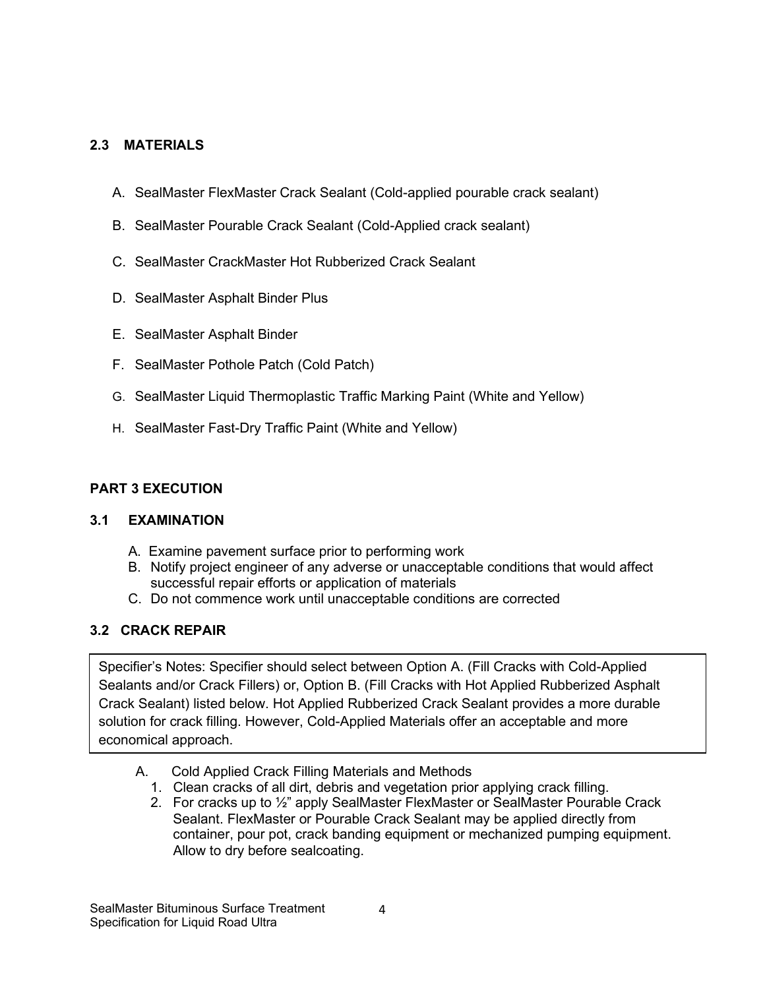#### **2.3 MATERIALS**

- A. SealMaster FlexMaster Crack Sealant (Cold-applied pourable crack sealant)
- B. SealMaster Pourable Crack Sealant (Cold-Applied crack sealant)
- C. SealMaster CrackMaster Hot Rubberized Crack Sealant
- D. SealMaster Asphalt Binder Plus
- E. SealMaster Asphalt Binder
- F. SealMaster Pothole Patch (Cold Patch)
- G. SealMaster Liquid Thermoplastic Traffic Marking Paint (White and Yellow)
- H. SealMaster Fast-Dry Traffic Paint (White and Yellow)

### **PART 3 EXECUTION**

#### **3.1 EXAMINATION**

- A. Examine pavement surface prior to performing work
- B. Notify project engineer of any adverse or unacceptable conditions that would affect successful repair efforts or application of materials
- C. Do not commence work until unacceptable conditions are corrected

#### **3.2 CRACK REPAIR**

Specifier's Notes: Specifier should select between Option A. (Fill Cracks with Cold-Applied Sealants and/or Crack Fillers) or, Option B. (Fill Cracks with Hot Applied Rubberized Asphalt Crack Sealant) listed below. Hot Applied Rubberized Crack Sealant provides a more durable solution for crack filling. However, Cold-Applied Materials offer an acceptable and more economical approach.

- A. Cold Applied Crack Filling Materials and Methods
	- 1. Clean cracks of all dirt, debris and vegetation prior applying crack filling.
	- 2. For cracks up to ½" apply SealMaster FlexMaster or SealMaster Pourable Crack Sealant. FlexMaster or Pourable Crack Sealant may be applied directly from container, pour pot, crack banding equipment or mechanized pumping equipment. Allow to dry before sealcoating.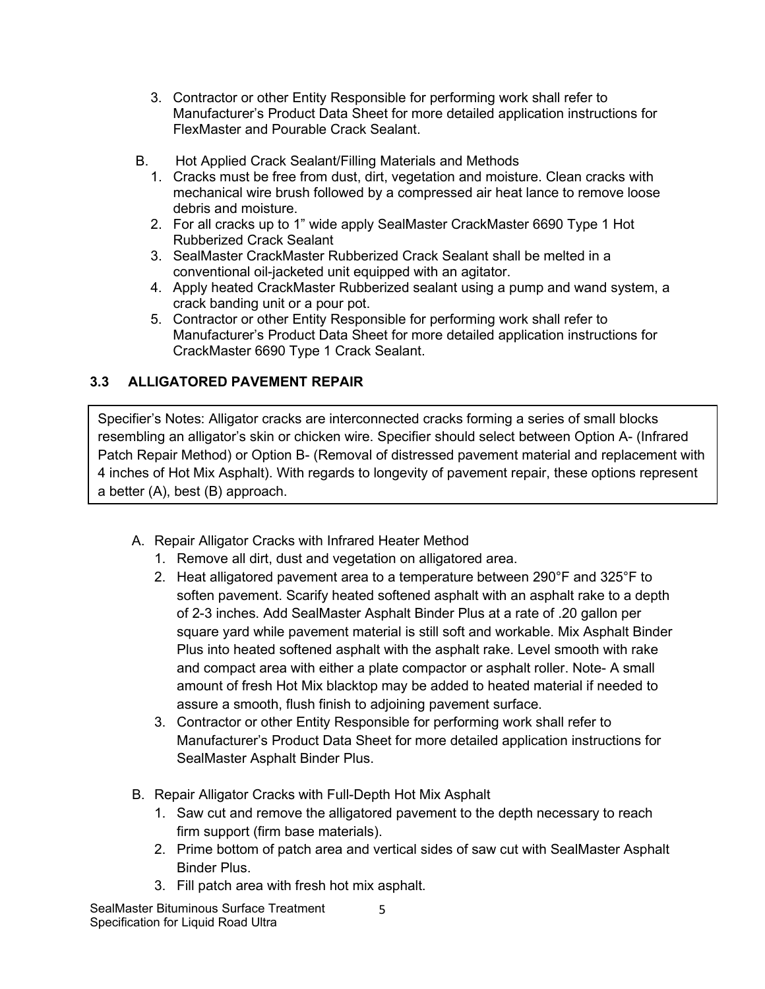- 3. Contractor or other Entity Responsible for performing work shall refer to Manufacturer's Product Data Sheet for more detailed application instructions for FlexMaster and Pourable Crack Sealant.
- B. Hot Applied Crack Sealant/Filling Materials and Methods
	- 1. Cracks must be free from dust, dirt, vegetation and moisture. Clean cracks with mechanical wire brush followed by a compressed air heat lance to remove loose debris and moisture.
	- 2. For all cracks up to 1" wide apply SealMaster CrackMaster 6690 Type 1 Hot Rubberized Crack Sealant
	- 3. SealMaster CrackMaster Rubberized Crack Sealant shall be melted in a conventional oil-jacketed unit equipped with an agitator.
	- 4. Apply heated CrackMaster Rubberized sealant using a pump and wand system, a crack banding unit or a pour pot.
	- 5. Contractor or other Entity Responsible for performing work shall refer to Manufacturer's Product Data Sheet for more detailed application instructions for CrackMaster 6690 Type 1 Crack Sealant.

# **3.3 ALLIGATORED PAVEMENT REPAIR**

Specifier's Notes: Alligator cracks are interconnected cracks forming a series of small blocks resembling an alligator's skin or chicken wire. Specifier should select between Option A- (Infrared Patch Repair Method) or Option B- (Removal of distressed pavement material and replacement with 4 inches of Hot Mix Asphalt). With regards to longevity of pavement repair, these options represent a better (A), best (B) approach.

- A. Repair Alligator Cracks with Infrared Heater Method
	- 1. Remove all dirt, dust and vegetation on alligatored area.
	- 2. Heat alligatored pavement area to a temperature between 290°F and 325°F to soften pavement. Scarify heated softened asphalt with an asphalt rake to a depth of 2-3 inches. Add SealMaster Asphalt Binder Plus at a rate of .20 gallon per square yard while pavement material is still soft and workable. Mix Asphalt Binder Plus into heated softened asphalt with the asphalt rake. Level smooth with rake and compact area with either a plate compactor or asphalt roller. Note- A small amount of fresh Hot Mix blacktop may be added to heated material if needed to assure a smooth, flush finish to adjoining pavement surface.
	- 3. Contractor or other Entity Responsible for performing work shall refer to Manufacturer's Product Data Sheet for more detailed application instructions for SealMaster Asphalt Binder Plus.
- B. Repair Alligator Cracks with Full-Depth Hot Mix Asphalt
	- 1. Saw cut and remove the alligatored pavement to the depth necessary to reach firm support (firm base materials).

5

- 2. Prime bottom of patch area and vertical sides of saw cut with SealMaster Asphalt Binder Plus.
- 3. Fill patch area with fresh hot mix asphalt.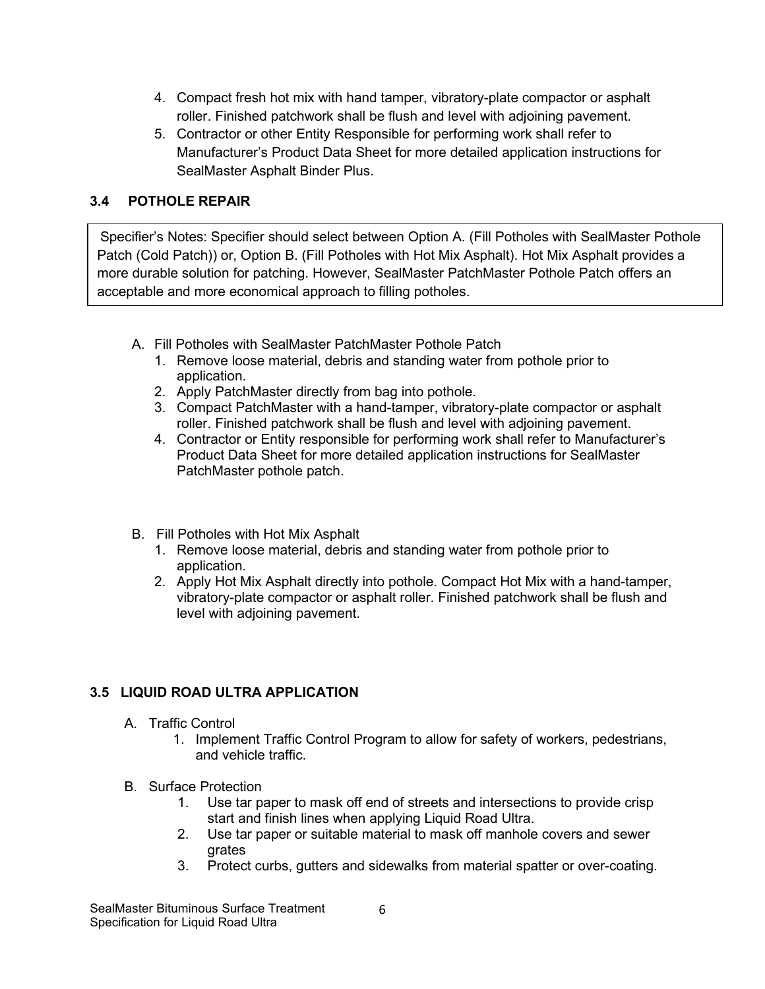- 4. Compact fresh hot mix with hand tamper, vibratory-plate compactor or asphalt roller. Finished patchwork shall be flush and level with adjoining pavement.
- 5. Contractor or other Entity Responsible for performing work shall refer to Manufacturer's Product Data Sheet for more detailed application instructions for SealMaster Asphalt Binder Plus.

#### **3.4 POTHOLE REPAIR**

Specifier's Notes: Specifier should select between Option A. (Fill Potholes with SealMaster Pothole Patch (Cold Patch)) or, Option B. (Fill Potholes with Hot Mix Asphalt). Hot Mix Asphalt provides a more durable solution for patching. However, SealMaster PatchMaster Pothole Patch offers an acceptable and more economical approach to filling potholes.

- A. Fill Potholes with SealMaster PatchMaster Pothole Patch
	- 1. Remove loose material, debris and standing water from pothole prior to application.
	- 2. Apply PatchMaster directly from bag into pothole.
	- 3. Compact PatchMaster with a hand-tamper, vibratory-plate compactor or asphalt roller. Finished patchwork shall be flush and level with adjoining pavement.
	- 4. Contractor or Entity responsible for performing work shall refer to Manufacturer's Product Data Sheet for more detailed application instructions for SealMaster PatchMaster pothole patch.
- B. Fill Potholes with Hot Mix Asphalt
	- 1. Remove loose material, debris and standing water from pothole prior to application.
	- 2. Apply Hot Mix Asphalt directly into pothole. Compact Hot Mix with a hand-tamper, vibratory-plate compactor or asphalt roller. Finished patchwork shall be flush and level with adjoining pavement.

## **3.5 LIQUID ROAD ULTRA APPLICATION**

- A. Traffic Control
	- 1. Implement Traffic Control Program to allow for safety of workers, pedestrians, and vehicle traffic.
- B. Surface Protection
	- 1. Use tar paper to mask off end of streets and intersections to provide crisp start and finish lines when applying Liquid Road Ultra.
	- 2. Use tar paper or suitable material to mask off manhole covers and sewer grates
	- 3. Protect curbs, gutters and sidewalks from material spatter or over-coating.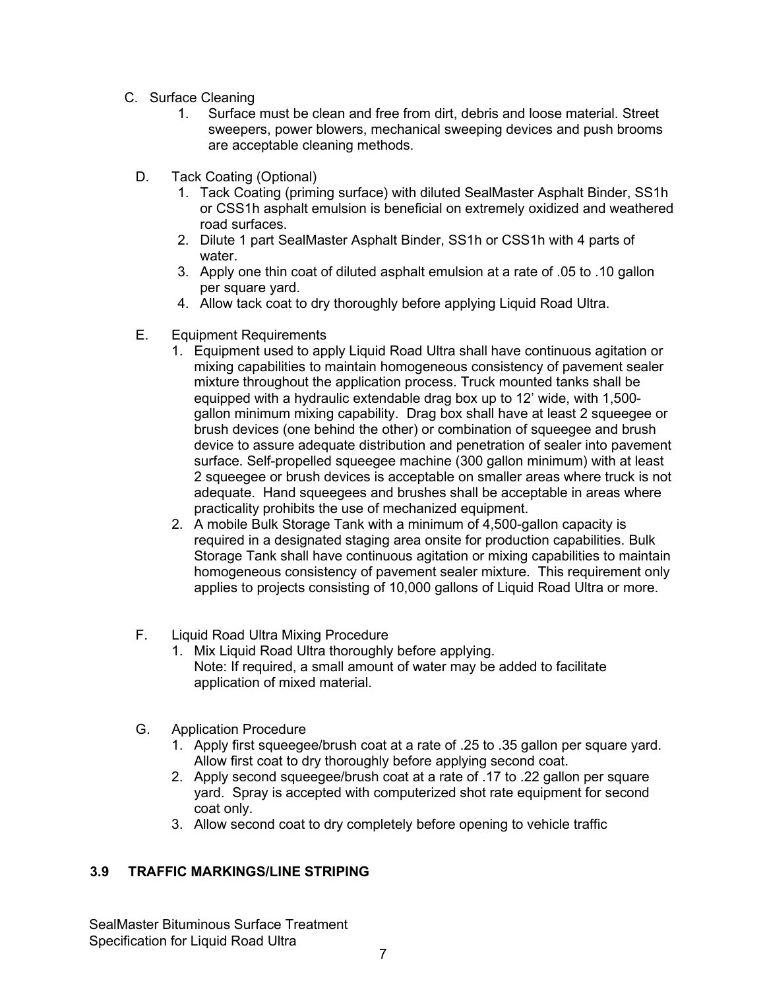- C. Surface Cleaning
	- 1. Surface must be clean and free from dirt, debris and loose material. Street sweepers, power blowers, mechanical sweeping devices and push brooms are acceptable cleaning methods.
	- D. Tack Coating (Optional)
		- 1. Tack Coating (priming surface) with diluted SealMaster Asphalt Binder, SS1h or CSS1h asphalt emulsion is beneficial on extremely oxidized and weathered road surfaces.
		- 2. Dilute 1 part SealMaster Asphalt Binder, SS1h or CSS1h with 4 parts of water.
		- 3. Apply one thin coat of diluted asphalt emulsion at a rate of .05 to .10 gallon per square yard.
		- 4. Allow tack coat to dry thoroughly before applying Liquid Road Ultra.
	- E. Equipment Requirements
		- 1. Equipment used to apply Liquid Road Ultra shall have continuous agitation or mixing capabilities to maintain homogeneous consistency of pavement sealer mixture throughout the application process. Truck mounted tanks shall be equipped with a hydraulic extendable drag box up to 12' wide, with 1,500 gallon minimum mixing capability. Drag box shall have at least 2 squeegee or brush devices (one behind the other) or combination of squeegee and brush device to assure adequate distribution and penetration of sealer into pavement surface. Self-propelled squeegee machine (300 gallon minimum) with at least 2 squeegee or brush devices is acceptable on smaller areas where truck is not adequate. Hand squeegees and brushes shall be acceptable in areas where practicality prohibits the use of mechanized equipment.
		- 2. A mobile Bulk Storage Tank with a minimum of 4,500-gallon capacity is required in a designated staging area onsite for production capabilities. Bulk Storage Tank shall have continuous agitation or mixing capabilities to maintain homogeneous consistency of pavement sealer mixture. This requirement only applies to projects consisting of 10,000 gallons of Liquid Road Ultra or more.
	- F. Liquid Road Ultra Mixing Procedure
		- 1. Mix Liquid Road Ultra thoroughly before applying. Note: If required, a small amount of water may be added to facilitate application of mixed material.
	- G. Application Procedure
		- 1. Apply first squeegee/brush coat at a rate of .25 to .35 gallon per square yard. Allow first coat to dry thoroughly before applying second coat.
		- 2. Apply second squeegee/brush coat at a rate of .17 to .22 gallon per square yard. Spray is accepted with computerized shot rate equipment for second coat only.
		- 3. Allow second coat to dry completely before opening to vehicle traffic

#### **3.9 TRAFFIC MARKINGS/LINE STRIPING**

SealMaster Bituminous Surface Treatment Specification for Liquid Road Ultra